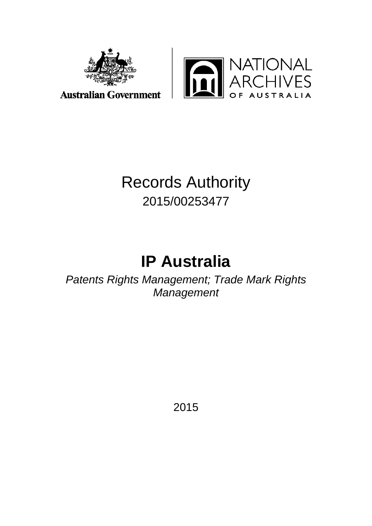



**Australian Government** 

# Records Authority 2015/00253477

# **IP Australia**

*Patents Rights Management; Trade Mark Rights Management*

2015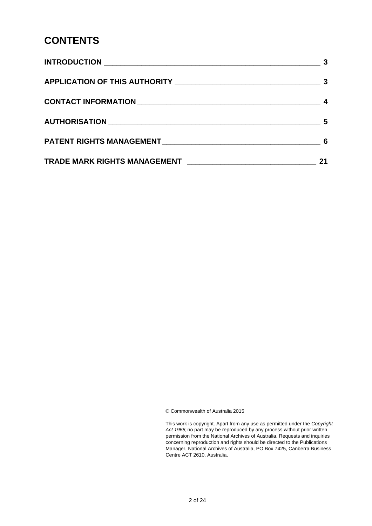#### **CONTENTS**

| 5  |
|----|
| -6 |
| 21 |

© Commonwealth of Australia 2015

This work is copyright. Apart from any use as permitted under the *Copyright Act 1968,* no part may be reproduced by any process without prior written permission from the National Archives of Australia. Requests and inquiries concerning reproduction and rights should be directed to the Publications Manager, National Archives of Australia, PO Box 7425, Canberra Business Centre ACT 2610, Australia.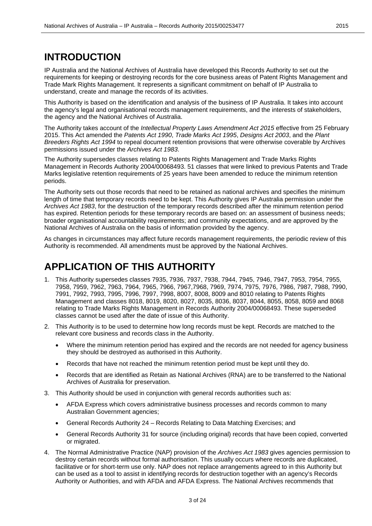#### **INTRODUCTION**

IP Australia and the National Archives of Australia have developed this Records Authority to set out the requirements for keeping or destroying records for the core business areas of Patent Rights Management and Trade Mark Rights Management. It represents a significant commitment on behalf of IP Australia to understand, create and manage the records of its activities.

This Authority is based on the identification and analysis of the business of IP Australia. It takes into account the agency's legal and organisational records management requirements, and the interests of stakeholders, the agency and the National Archives of Australia.

The Authority takes account of the *Intellectual Property Laws Amendment Act 2015* effective from 25 February 2015. This Act amended the *Patents Act 1990*, *Trade Marks Act 1995*, *Designs Act 2003*, and the *Plant Breeders Rights Act 1994* to repeal document retention provisions that were otherwise coverable by Archives permissions issued under the *Archives Act 1983*.

The Authority supersedes classes relating to Patents Rights Management and Trade Marks Rights Management in Records Authority 2004/00068493. 51 classes that were linked to previous Patents and Trade Marks legislative retention requirements of 25 years have been amended to reduce the minimum retention periods.

The Authority sets out those records that need to be retained as national archives and specifies the minimum length of time that temporary records need to be kept. This Authority gives IP Australia permission under the *Archives Act 1983*, for the destruction of the temporary records described after the minimum retention period has expired. Retention periods for these temporary records are based on: an assessment of business needs; broader organisational accountability requirements; and community expectations, and are approved by the National Archives of Australia on the basis of information provided by the agency.

As changes in circumstances may affect future records management requirements, the periodic review of this Authority is recommended. All amendments must be approved by the National Archives.

#### **APPLICATION OF THIS AUTHORITY**

- 1. This Authority supersedes classes 7935, 7936, 7937, 7938, 7944, 7945, 7946, 7947, 7953, 7954, 7955, 7958, 7959, 7962, 7963, 7964, 7965, 7966, 7967,7968, 7969, 7974, 7975, 7976, 7986, 7987, 7988, 7990, 7991, 7992, 7993, 7995, 7996, 7997, 7998, 8007, 8008, 8009 and 8010 relating to Patents Rights Management and classes 8018, 8019, 8020, 8027, 8035, 8036, 8037, 8044, 8055, 8058, 8059 and 8068 relating to Trade Marks Rights Management in Records Authority 2004/00068493. These superseded classes cannot be used after the date of issue of this Authority.
- 2. This Authority is to be used to determine how long records must be kept. Records are matched to the relevant core business and records class in the Authority.
	- Where the minimum retention period has expired and the records are not needed for agency business they should be destroyed as authorised in this Authority.
	- Records that have not reached the minimum retention period must be kept until they do.
	- Records that are identified as Retain as National Archives (RNA) are to be transferred to the National Archives of Australia for preservation.
- 3. This Authority should be used in conjunction with general records authorities such as:
	- AFDA Express which covers administrative business processes and records common to many Australian Government agencies;
	- General Records Authority 24 Records Relating to Data Matching Exercises; and
	- General Records Authority 31 for source (including original) records that have been copied, converted or migrated.
- 4. The Normal Administrative Practice (NAP) provision of the *Archives Act 1983* gives agencies permission to destroy certain records without formal authorisation. This usually occurs where records are duplicated, facilitative or for short-term use only. NAP does not replace arrangements agreed to in this Authority but can be used as a tool to assist in identifying records for destruction together with an agency's Records Authority or Authorities, and with AFDA and AFDA Express. The National Archives recommends that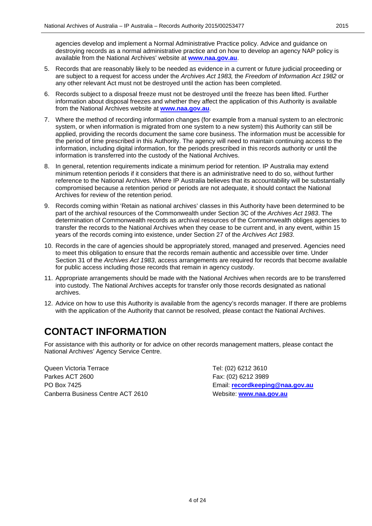agencies develop and implement a Normal Administrative Practice policy. Advice and guidance on destroying records as a normal administrative practice and on how to develop an agency NAP policy is available from the National Archives' website at **[www.naa.gov.au](http://www.naa.gov.au/)**.

- 5. Records that are reasonably likely to be needed as evidence in a current or future judicial proceeding or are subject to a request for access under the *Archives Act 1983,* the *Freedom of Information Act 1982* or any other relevant Act must not be destroyed until the action has been completed.
- 6. Records subject to a disposal freeze must not be destroyed until the freeze has been lifted. Further information about disposal freezes and whether they affect the application of this Authority is available from the National Archives website at **[www.naa.gov.au](http://www.naa.gov.au/)**.
- 7. Where the method of recording information changes (for example from a manual system to an electronic system, or when information is migrated from one system to a new system) this Authority can still be applied, providing the records document the same core business. The information must be accessible for the period of time prescribed in this Authority. The agency will need to maintain continuing access to the information, including digital information, for the periods prescribed in this records authority or until the information is transferred into the custody of the National Archives.
- 8. In general, retention requirements indicate a minimum period for retention. IP Australia may extend minimum retention periods if it considers that there is an administrative need to do so, without further reference to the National Archives. Where IP Australia believes that its accountability will be substantially compromised because a retention period or periods are not adequate, it should contact the National Archives for review of the retention period.
- 9. Records coming within 'Retain as national archives' classes in this Authority have been determined to be part of the archival resources of the Commonwealth under Section 3C of the *Archives Act 1983*. The determination of Commonwealth records as archival resources of the Commonwealth obliges agencies to transfer the records to the National Archives when they cease to be current and, in any event, within 15 years of the records coming into existence, under Section 27 of the *Archives Act 1983*.
- 10. Records in the care of agencies should be appropriately stored, managed and preserved. Agencies need to meet this obligation to ensure that the records remain authentic and accessible over time. Under Section 31 of the *Archives Act 1983*, access arrangements are required for records that become available for public access including those records that remain in agency custody.
- 11. Appropriate arrangements should be made with the National Archives when records are to be transferred into custody. The National Archives accepts for transfer only those records designated as national archives.
- 12. Advice on how to use this Authority is available from the agency's records manager. If there are problems with the application of the Authority that cannot be resolved, please contact the National Archives.

#### **CONTACT INFORMATION**

For assistance with this authority or for advice on other records management matters, please contact the National Archives' Agency Service Centre.

Queen Victoria Terrace Tel: (02) 6212 3610 Parkes ACT 2600 Fax: (02) 6212 3989 PO Box 7425 Email: **[recordkeeping@naa.gov.au](mailto:recordkeeping@naa.gov.au)** Canberra Business Centre ACT 2610 Website: **[www.naa.gov.au](http://www.naa.gov.au/)**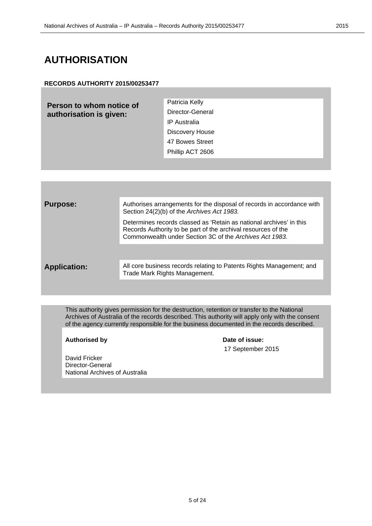#### **AUTHORISATION**

#### **RECORDS AUTHORITY 2015/00253477**

**Person to whom notice of authorisation is given:**

Patricia Kelly Director-General IP Australia Discovery House 47 Bowes Street Phillip ACT 2606

**Purpose:** Authorises arrangements for the disposal of records in accordance with Section 24(2)(b) of the *Archives Act 1983.*

> Determines records classed as 'Retain as national archives' in this Records Authority to be part of the archival resources of the Commonwealth under Section 3C of the *Archives Act 1983*.

Application: All core business records relating to Patents Rights Management; and Trade Mark Rights Management.

This authority gives permission for the destruction, retention or transfer to the National Archives of Australia of the records described. This authority will apply only with the consent of the agency currently responsible for the business documented in the records described.

Authorised by **Date of issue:** 

17 September 2015

David Fricker Director-General National Archives of Australia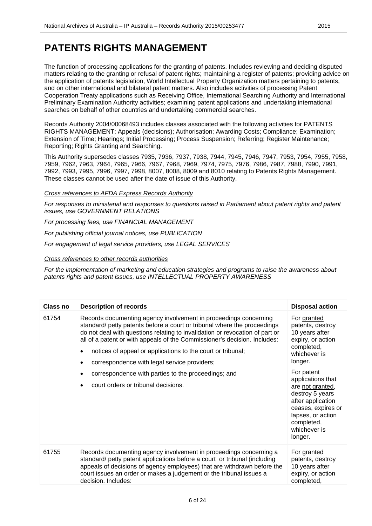The function of processing applications for the granting of patents. Includes reviewing and deciding disputed matters relating to the granting or refusal of patent rights; maintaining a register of patents; providing advice on the application of patents legislation, World Intellectual Property Organization matters pertaining to patents, and on other international and bilateral patent matters. Also includes activities of processing Patent Cooperation Treaty applications such as Receiving Office, International Searching Authority and International Preliminary Examination Authority activities; examining patent applications and undertaking international searches on behalf of other countries and undertaking commercial searches.

Records Authority 2004/00068493 includes classes associated with the following activities for PATENTS RIGHTS MANAGEMENT: Appeals (decisions); Authorisation; Awarding Costs; Compliance; Examination; Extension of Time; Hearings; Initial Processing; Process Suspension; Referring; Register Maintenance; Reporting; Rights Granting and Searching.

This Authority supersedes classes 7935, 7936, 7937, 7938, 7944, 7945, 7946, 7947, 7953, 7954, 7955, 7958, 7959, 7962, 7963, 7964, 7965, 7966, 7967, 7968, 7969, 7974, 7975, 7976, 7986, 7987, 7988, 7990, 7991, 7992, 7993, 7995, 7996, 7997, 7998, 8007, 8008, 8009 and 8010 relating to Patents Rights Management. These classes cannot be used after the date of issue of this Authority.

*Cross references to AFDA Express Records Authority*

*For responses to ministerial and responses to questions raised in Parliament about patent rights and patent issues, use GOVERNMENT RELATIONS*

*For processing fees, use FINANCIAL MANAGEMENT* 

*For publishing official journal notices, use PUBLICATION*

*For engagement of legal service providers, use LEGAL SERVICES*

*Cross references to other records authorities*

*For the implementation of marketing and education strategies and programs to raise the awareness about patents rights and patent issues, use INTELLECTUAL PROPERTY AWARENESS*

| <b>Class no</b> | <b>Description of records</b>                                                                                                                                                                                                                                                                                                                                                                                                                                                                                          | <b>Disposal action</b>                                                                                                                                                                                                                                                                             |
|-----------------|------------------------------------------------------------------------------------------------------------------------------------------------------------------------------------------------------------------------------------------------------------------------------------------------------------------------------------------------------------------------------------------------------------------------------------------------------------------------------------------------------------------------|----------------------------------------------------------------------------------------------------------------------------------------------------------------------------------------------------------------------------------------------------------------------------------------------------|
| 61754           | Records documenting agency involvement in proceedings concerning<br>standard/ petty patents before a court or tribunal where the proceedings<br>do not deal with questions relating to invalidation or revocation of part or<br>all of a patent or with appeals of the Commissioner's decision. Includes:<br>notices of appeal or applications to the court or tribunal;<br>correspondence with legal service providers;<br>correspondence with parties to the proceedings; and<br>court orders or tribunal decisions. | For granted<br>patents, destroy<br>10 years after<br>expiry, or action<br>completed,<br>whichever is<br>longer.<br>For patent<br>applications that<br>are not granted,<br>destroy 5 years<br>after application<br>ceases, expires or<br>lapses, or action<br>completed,<br>whichever is<br>longer. |
| 61755           | Records documenting agency involvement in proceedings concerning a<br>standard/ petty patent applications before a court or tribunal (including<br>appeals of decisions of agency employees) that are withdrawn before the<br>court issues an order or makes a judgement or the tribunal issues a                                                                                                                                                                                                                      | For granted<br>patents, destroy<br>10 years after<br>expiry, or action                                                                                                                                                                                                                             |
|                 | decision. Includes:                                                                                                                                                                                                                                                                                                                                                                                                                                                                                                    | completed,                                                                                                                                                                                                                                                                                         |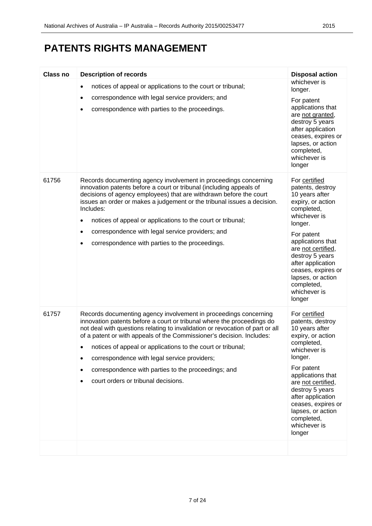| <b>Class no</b> | <b>Description of records</b>                                                                                                                                                                                                                                                                                                                                                                                                                                                                                     | <b>Disposal action</b>                                                                                                                                                                                                                                                                                |
|-----------------|-------------------------------------------------------------------------------------------------------------------------------------------------------------------------------------------------------------------------------------------------------------------------------------------------------------------------------------------------------------------------------------------------------------------------------------------------------------------------------------------------------------------|-------------------------------------------------------------------------------------------------------------------------------------------------------------------------------------------------------------------------------------------------------------------------------------------------------|
|                 | notices of appeal or applications to the court or tribunal;<br>$\bullet$<br>correspondence with legal service providers; and<br>$\bullet$<br>correspondence with parties to the proceedings.<br>$\bullet$                                                                                                                                                                                                                                                                                                         | whichever is<br>longer.<br>For patent<br>applications that<br>are not granted,<br>destroy 5 years<br>after application<br>ceases, expires or<br>lapses, or action<br>completed,<br>whichever is<br>longer                                                                                             |
| 61756           | Records documenting agency involvement in proceedings concerning<br>innovation patents before a court or tribunal (including appeals of<br>decisions of agency employees) that are withdrawn before the court<br>issues an order or makes a judgement or the tribunal issues a decision.<br>Includes:<br>notices of appeal or applications to the court or tribunal;<br>٠<br>correspondence with legal service providers; and<br>٠<br>correspondence with parties to the proceedings.<br>٠                        | For certified<br>patents, destroy<br>10 years after<br>expiry, or action<br>completed,<br>whichever is<br>longer.<br>For patent<br>applications that<br>are not certified,<br>destroy 5 years<br>after application<br>ceases, expires or<br>lapses, or action<br>completed,<br>whichever is<br>longer |
| 61757           | Records documenting agency involvement in proceedings concerning<br>innovation patents before a court or tribunal where the proceedings do<br>not deal with questions relating to invalidation or revocation of part or all<br>of a patent or with appeals of the Commissioner's decision. Includes:<br>notices of appeal or applications to the court or tribunal;<br>correspondence with legal service providers;<br>correspondence with parties to the proceedings; and<br>court orders or tribunal decisions. | For certified<br>patents, destroy<br>10 years after<br>expiry, or action<br>completed,<br>whichever is<br>longer.<br>For patent<br>applications that<br>are not certified,<br>destroy 5 years<br>after application<br>ceases, expires or<br>lapses, or action<br>completed,<br>whichever is<br>longer |
|                 |                                                                                                                                                                                                                                                                                                                                                                                                                                                                                                                   |                                                                                                                                                                                                                                                                                                       |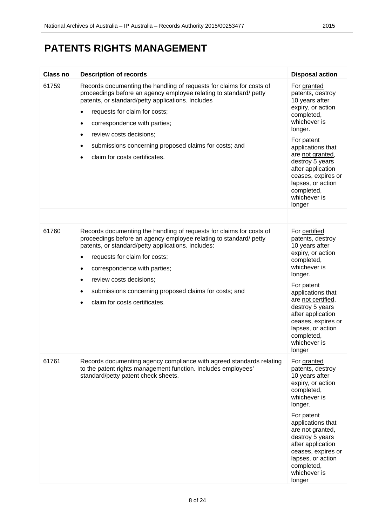| <b>Class no</b> | <b>Description of records</b>                                                                                                                                                                                                                                                                                                                                                                                                                  | <b>Disposal action</b>                                                                                                                                                                                                                                                                                |
|-----------------|------------------------------------------------------------------------------------------------------------------------------------------------------------------------------------------------------------------------------------------------------------------------------------------------------------------------------------------------------------------------------------------------------------------------------------------------|-------------------------------------------------------------------------------------------------------------------------------------------------------------------------------------------------------------------------------------------------------------------------------------------------------|
| 61759           | Records documenting the handling of requests for claims for costs of<br>proceedings before an agency employee relating to standard/ petty<br>patents, or standard/petty applications. Includes<br>requests for claim for costs;<br>$\bullet$<br>correspondence with parties;<br>$\bullet$<br>review costs decisions;<br>$\bullet$<br>submissions concerning proposed claims for costs; and<br>٠<br>claim for costs certificates.               | For granted<br>patents, destroy<br>10 years after<br>expiry, or action<br>completed,<br>whichever is<br>longer.<br>For patent<br>applications that<br>are not granted,<br>destroy 5 years<br>after application<br>ceases, expires or<br>lapses, or action<br>completed,<br>whichever is<br>longer     |
|                 |                                                                                                                                                                                                                                                                                                                                                                                                                                                |                                                                                                                                                                                                                                                                                                       |
| 61760           | Records documenting the handling of requests for claims for costs of<br>proceedings before an agency employee relating to standard/ petty<br>patents, or standard/petty applications. Includes:<br>requests for claim for costs;<br>$\bullet$<br>correspondence with parties;<br>$\bullet$<br>review costs decisions;<br>$\bullet$<br>submissions concerning proposed claims for costs; and<br>٠<br>claim for costs certificates.<br>$\bullet$ | For certified<br>patents, destroy<br>10 years after<br>expiry, or action<br>completed,<br>whichever is<br>longer.<br>For patent<br>applications that<br>are not certified,<br>destroy 5 years<br>after application<br>ceases, expires or<br>lapses, or action<br>completed,<br>whichever is<br>longer |
| 61761           | Records documenting agency compliance with agreed standards relating<br>to the patent rights management function. Includes employees'<br>standard/petty patent check sheets.                                                                                                                                                                                                                                                                   | For granted<br>patents, destroy<br>10 years after<br>expiry, or action<br>completed,<br>whichever is<br>longer.<br>For patent<br>applications that<br>are not granted,<br>destroy 5 years<br>after application<br>ceases, expires or<br>lapses, or action<br>completed,<br>whichever is<br>longer     |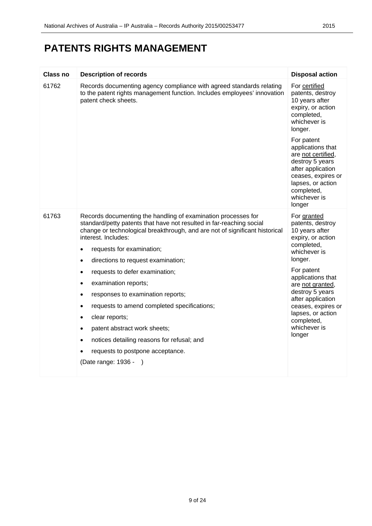| <b>Class no</b> | <b>Description of records</b>                                                                                                                                                                                                                                                                                                                                                                                                                                                                                                                                                                                                                                                                                         | <b>Disposal action</b>                                                                                                                                                                                                                                                                                |
|-----------------|-----------------------------------------------------------------------------------------------------------------------------------------------------------------------------------------------------------------------------------------------------------------------------------------------------------------------------------------------------------------------------------------------------------------------------------------------------------------------------------------------------------------------------------------------------------------------------------------------------------------------------------------------------------------------------------------------------------------------|-------------------------------------------------------------------------------------------------------------------------------------------------------------------------------------------------------------------------------------------------------------------------------------------------------|
| 61762           | Records documenting agency compliance with agreed standards relating<br>to the patent rights management function. Includes employees' innovation<br>patent check sheets.                                                                                                                                                                                                                                                                                                                                                                                                                                                                                                                                              | For certified<br>patents, destroy<br>10 years after<br>expiry, or action<br>completed,<br>whichever is<br>longer.<br>For patent<br>applications that<br>are not certified,<br>destroy 5 years<br>after application<br>ceases, expires or<br>lapses, or action<br>completed,<br>whichever is<br>longer |
| 61763           | Records documenting the handling of examination processes for<br>standard/petty patents that have not resulted in far-reaching social<br>change or technological breakthrough, and are not of significant historical<br>interest. Includes:<br>requests for examination;<br>$\bullet$<br>directions to request examination;<br>$\bullet$<br>requests to defer examination;<br>٠<br>examination reports;<br>٠<br>responses to examination reports;<br>٠<br>requests to amend completed specifications;<br>٠<br>clear reports;<br>٠<br>patent abstract work sheets;<br>$\bullet$<br>notices detailing reasons for refusal; and<br>$\bullet$<br>requests to postpone acceptance.<br>(Date range: 1936 -<br>$\rightarrow$ | For granted<br>patents, destroy<br>10 years after<br>expiry, or action<br>completed,<br>whichever is<br>longer.<br>For patent<br>applications that<br>are not granted,<br>destroy 5 years<br>after application<br>ceases, expires or<br>lapses, or action<br>completed,<br>whichever is<br>longer     |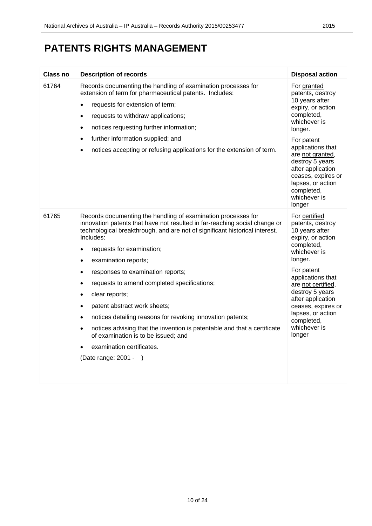| <b>Class no</b> | <b>Description of records</b>                                                                                                                                                                                                                                                                                                                                                                                                                                                                                                                                                                                                                                                                                                                                    | <b>Disposal action</b>                                                                                                                                                                                                                                                                                |
|-----------------|------------------------------------------------------------------------------------------------------------------------------------------------------------------------------------------------------------------------------------------------------------------------------------------------------------------------------------------------------------------------------------------------------------------------------------------------------------------------------------------------------------------------------------------------------------------------------------------------------------------------------------------------------------------------------------------------------------------------------------------------------------------|-------------------------------------------------------------------------------------------------------------------------------------------------------------------------------------------------------------------------------------------------------------------------------------------------------|
| 61764           | Records documenting the handling of examination processes for<br>extension of term for pharmaceutical patents. Includes:<br>requests for extension of term;<br>$\bullet$<br>requests to withdraw applications;<br>$\bullet$<br>notices requesting further information;<br>٠<br>further information supplied; and<br>$\bullet$<br>notices accepting or refusing applications for the extension of term.<br>٠                                                                                                                                                                                                                                                                                                                                                      | For granted<br>patents, destroy<br>10 years after<br>expiry, or action<br>completed,<br>whichever is<br>longer.<br>For patent<br>applications that<br>are not granted,<br>destroy 5 years<br>after application<br>ceases, expires or<br>lapses, or action<br>completed,<br>whichever is<br>longer     |
| 61765           | Records documenting the handling of examination processes for<br>innovation patents that have not resulted in far-reaching social change or<br>technological breakthrough, and are not of significant historical interest.<br>Includes:<br>requests for examination;<br>٠<br>examination reports;<br>٠<br>responses to examination reports;<br>٠<br>requests to amend completed specifications;<br>$\bullet$<br>clear reports;<br>٠<br>patent abstract work sheets;<br>$\bullet$<br>notices detailing reasons for revoking innovation patents;<br>$\bullet$<br>notices advising that the invention is patentable and that a certificate<br>$\bullet$<br>of examination is to be issued; and<br>examination certificates.<br>(Date range: 2001 -<br>$\rightarrow$ | For certified<br>patents, destroy<br>10 years after<br>expiry, or action<br>completed,<br>whichever is<br>longer.<br>For patent<br>applications that<br>are not certified,<br>destroy 5 years<br>after application<br>ceases, expires or<br>lapses, or action<br>completed,<br>whichever is<br>longer |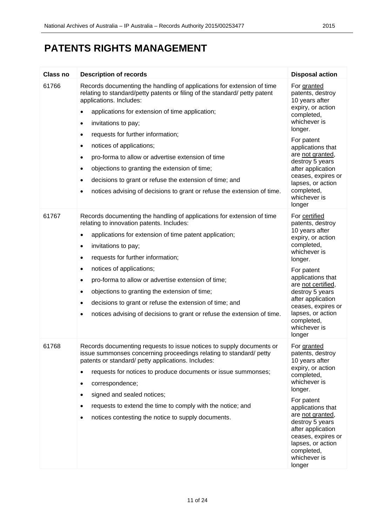| <b>Class no</b> | <b>Description of records</b>                                                                                                                                                                                                                                                                                                                                                                                                                                                                                                                                                                      | <b>Disposal action</b>                                                                                                                                                                                                                                                                                |
|-----------------|----------------------------------------------------------------------------------------------------------------------------------------------------------------------------------------------------------------------------------------------------------------------------------------------------------------------------------------------------------------------------------------------------------------------------------------------------------------------------------------------------------------------------------------------------------------------------------------------------|-------------------------------------------------------------------------------------------------------------------------------------------------------------------------------------------------------------------------------------------------------------------------------------------------------|
| 61766           | Records documenting the handling of applications for extension of time<br>relating to standard/petty patents or filing of the standard/ petty patent<br>applications. Includes:<br>applications for extension of time application;<br>$\bullet$<br>invitations to pay;<br>$\bullet$<br>requests for further information;<br>٠                                                                                                                                                                                                                                                                      | For granted<br>patents, destroy<br>10 years after<br>expiry, or action<br>completed,<br>whichever is<br>longer.                                                                                                                                                                                       |
|                 | notices of applications;<br>٠<br>pro-forma to allow or advertise extension of time<br>٠<br>objections to granting the extension of time;<br>٠<br>decisions to grant or refuse the extension of time; and<br>٠<br>notices advising of decisions to grant or refuse the extension of time.<br>٠                                                                                                                                                                                                                                                                                                      | For patent<br>applications that<br>are not granted,<br>destroy 5 years<br>after application<br>ceases, expires or<br>lapses, or action<br>completed,<br>whichever is<br>longer                                                                                                                        |
| 61767           | Records documenting the handling of applications for extension of time<br>relating to innovation patents. Includes:<br>applications for extension of time patent application;<br>$\bullet$<br>invitations to pay;<br>٠<br>requests for further information;<br>٠<br>notices of applications;<br>$\bullet$<br>pro-forma to allow or advertise extension of time;<br>$\bullet$<br>objections to granting the extension of time;<br>$\bullet$<br>decisions to grant or refuse the extension of time; and<br>$\bullet$<br>notices advising of decisions to grant or refuse the extension of time.<br>٠ | For certified<br>patents, destroy<br>10 years after<br>expiry, or action<br>completed,<br>whichever is<br>longer.<br>For patent<br>applications that<br>are not certified,<br>destroy 5 years<br>after application<br>ceases, expires or<br>lapses, or action<br>completed,<br>whichever is<br>longer |
| 61768           | Records documenting requests to issue notices to supply documents or<br>issue summonses concerning proceedings relating to standard/ petty<br>patents or standard/ petty applications. Includes:<br>requests for notices to produce documents or issue summonses;<br>correspondence;<br>٠<br>signed and sealed notices;<br>٠<br>requests to extend the time to comply with the notice; and<br>٠<br>notices contesting the notice to supply documents.                                                                                                                                              | For granted<br>patents, destroy<br>10 years after<br>expiry, or action<br>completed,<br>whichever is<br>longer.<br>For patent<br>applications that<br>are not granted,<br>destroy 5 years<br>after application<br>ceases, expires or<br>lapses, or action<br>completed,<br>whichever is<br>longer     |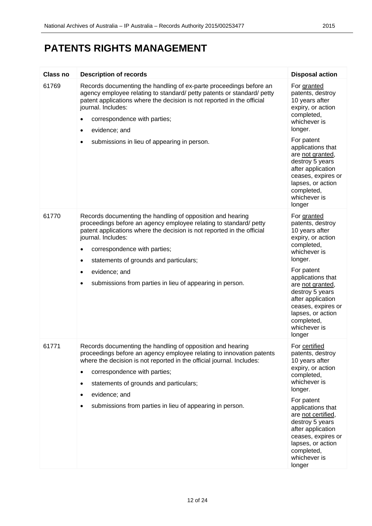| Class no | <b>Description of records</b>                                                                                                                                                                                                                                                                                                                                                                                      | <b>Disposal action</b>                                                                                                                                                                                                                                                                                |
|----------|--------------------------------------------------------------------------------------------------------------------------------------------------------------------------------------------------------------------------------------------------------------------------------------------------------------------------------------------------------------------------------------------------------------------|-------------------------------------------------------------------------------------------------------------------------------------------------------------------------------------------------------------------------------------------------------------------------------------------------------|
| 61769    | Records documenting the handling of ex-parte proceedings before an<br>agency employee relating to standard/ petty patents or standard/ petty<br>patent applications where the decision is not reported in the official<br>journal. Includes:<br>correspondence with parties;<br>٠<br>evidence; and<br>٠<br>submissions in lieu of appearing in person.                                                             | For granted<br>patents, destroy<br>10 years after<br>expiry, or action<br>completed,<br>whichever is<br>longer.<br>For patent<br>applications that                                                                                                                                                    |
|          |                                                                                                                                                                                                                                                                                                                                                                                                                    | are not granted,<br>destroy 5 years<br>after application<br>ceases, expires or<br>lapses, or action<br>completed,<br>whichever is<br>longer                                                                                                                                                           |
| 61770    | Records documenting the handling of opposition and hearing<br>proceedings before an agency employee relating to standard/ petty<br>patent applications where the decision is not reported in the official<br>journal. Includes:<br>correspondence with parties;<br>٠<br>statements of grounds and particulars;<br>٠<br>evidence; and<br>$\bullet$<br>submissions from parties in lieu of appearing in person.<br>٠ | For granted<br>patents, destroy<br>10 years after<br>expiry, or action<br>completed,<br>whichever is<br>longer.<br>For patent<br>applications that<br>are not granted,<br>destroy 5 years<br>after application<br>ceases, expires or<br>lapses, or action<br>completed,<br>whichever is<br>longer     |
| 61771    | Records documenting the handling of opposition and hearing<br>proceedings before an agency employee relating to innovation patents<br>where the decision is not reported in the official journal. Includes:<br>correspondence with parties;<br>$\bullet$<br>statements of grounds and particulars;<br>٠<br>evidence; and<br>٠<br>submissions from parties in lieu of appearing in person.                          | For certified<br>patents, destroy<br>10 years after<br>expiry, or action<br>completed,<br>whichever is<br>longer.<br>For patent<br>applications that<br>are not certified,<br>destroy 5 years<br>after application<br>ceases, expires or<br>lapses, or action<br>completed,<br>whichever is<br>longer |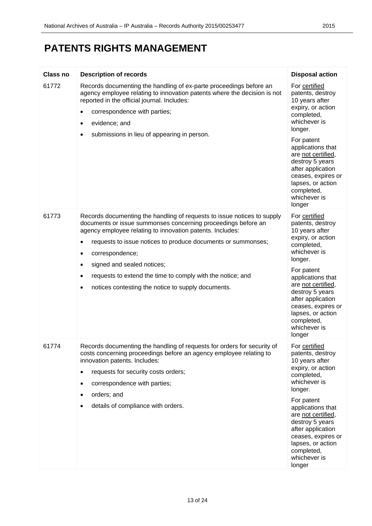| <b>Class no</b> | <b>Description of records</b>                                                                                                                                                                                                                                                                                                                                                                                                                                                       | <b>Disposal action</b>                                                                                                                                                                                                                                                                                          |
|-----------------|-------------------------------------------------------------------------------------------------------------------------------------------------------------------------------------------------------------------------------------------------------------------------------------------------------------------------------------------------------------------------------------------------------------------------------------------------------------------------------------|-----------------------------------------------------------------------------------------------------------------------------------------------------------------------------------------------------------------------------------------------------------------------------------------------------------------|
| 61772           | Records documenting the handling of ex-parte proceedings before an<br>agency employee relating to innovation patents where the decision is not<br>reported in the official journal. Includes:<br>correspondence with parties;<br>٠<br>evidence; and<br>٠<br>submissions in lieu of appearing in person.<br>$\bullet$                                                                                                                                                                | For certified<br>patents, destroy<br>10 years after<br>expiry, or action<br>completed,<br>whichever is<br>longer.<br>For patent<br>applications that<br>are not certified,<br>destroy 5 years<br>after application<br>ceases, expires or<br>lapses, or action<br>completed,<br>whichever is                     |
| 61773           | Records documenting the handling of requests to issue notices to supply<br>documents or issue summonses concerning proceedings before an<br>agency employee relating to innovation patents. Includes:<br>requests to issue notices to produce documents or summonses;<br>$\bullet$<br>correspondence;<br>٠<br>signed and sealed notices;<br>٠<br>requests to extend the time to comply with the notice; and<br>$\bullet$<br>notices contesting the notice to supply documents.<br>٠ | longer<br>For certified<br>patents, destroy<br>10 years after<br>expiry, or action<br>completed,<br>whichever is<br>longer.<br>For patent<br>applications that<br>are not certified,<br>destroy 5 years<br>after application<br>ceases, expires or<br>lapses, or action<br>completed,<br>whichever is<br>longer |
| 61774           | Records documenting the handling of requests for orders for security of<br>costs concerning proceedings before an agency employee relating to<br>innovation patents. Includes:<br>requests for security costs orders;<br>correspondence with parties;<br>orders; and<br>details of compliance with orders.                                                                                                                                                                          | For certified<br>patents, destroy<br>10 years after<br>expiry, or action<br>completed,<br>whichever is<br>longer.<br>For patent<br>applications that<br>are not certified,<br>destroy 5 years<br>after application<br>ceases, expires or<br>lapses, or action<br>completed,<br>whichever is<br>longer           |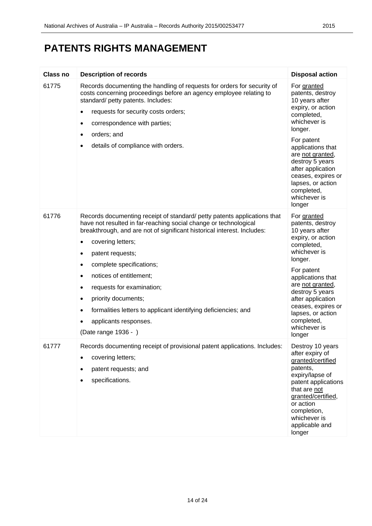| <b>Class no</b> | <b>Description of records</b>                                                                                                                                                                                                                                                                                                                                                                                                                                                                                                                                                  | <b>Disposal action</b>                                                                                                                                                                                                                                                                            |
|-----------------|--------------------------------------------------------------------------------------------------------------------------------------------------------------------------------------------------------------------------------------------------------------------------------------------------------------------------------------------------------------------------------------------------------------------------------------------------------------------------------------------------------------------------------------------------------------------------------|---------------------------------------------------------------------------------------------------------------------------------------------------------------------------------------------------------------------------------------------------------------------------------------------------|
| 61775           | Records documenting the handling of requests for orders for security of<br>costs concerning proceedings before an agency employee relating to<br>standard/ petty patents. Includes:<br>requests for security costs orders;<br>٠<br>correspondence with parties;<br>٠<br>orders; and<br>٠<br>details of compliance with orders.<br>٠                                                                                                                                                                                                                                            | For granted<br>patents, destroy<br>10 years after<br>expiry, or action<br>completed,<br>whichever is<br>longer.<br>For patent<br>applications that<br>are not granted,<br>destroy 5 years<br>after application<br>ceases, expires or<br>lapses, or action<br>completed,<br>whichever is<br>longer |
| 61776           | Records documenting receipt of standard/ petty patents applications that<br>have not resulted in far-reaching social change or technological<br>breakthrough, and are not of significant historical interest. Includes:<br>covering letters;<br>٠<br>patent requests;<br>٠<br>complete specifications;<br>$\bullet$<br>notices of entitlement;<br>$\bullet$<br>requests for examination;<br>$\bullet$<br>priority documents;<br>$\bullet$<br>formalities letters to applicant identifying deficiencies; and<br>$\bullet$<br>applicants responses.<br>٠<br>(Date range 1936 - ) | For granted<br>patents, destroy<br>10 years after<br>expiry, or action<br>completed,<br>whichever is<br>longer.<br>For patent<br>applications that<br>are not granted,<br>destroy 5 years<br>after application<br>ceases, expires or<br>lapses, or action<br>completed,<br>whichever is<br>longer |
| 61777           | Records documenting receipt of provisional patent applications. Includes:<br>covering letters;<br>patent requests; and<br>specifications.                                                                                                                                                                                                                                                                                                                                                                                                                                      | Destroy 10 years<br>after expiry of<br>granted/certified<br>patents,<br>expiry/lapse of<br>patent applications<br>that are not<br>granted/certified,<br>or action<br>completion,<br>whichever is<br>applicable and<br>longer                                                                      |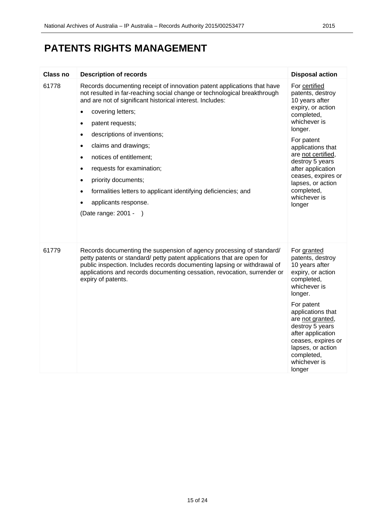| <b>Class no</b> | <b>Description of records</b>                                                                                                                                                                                                                                                                                                                                                                                                                                                                                                                                                                                                           | <b>Disposal action</b>                                                                                                                                                                                                                                                                                |
|-----------------|-----------------------------------------------------------------------------------------------------------------------------------------------------------------------------------------------------------------------------------------------------------------------------------------------------------------------------------------------------------------------------------------------------------------------------------------------------------------------------------------------------------------------------------------------------------------------------------------------------------------------------------------|-------------------------------------------------------------------------------------------------------------------------------------------------------------------------------------------------------------------------------------------------------------------------------------------------------|
| 61778           | Records documenting receipt of innovation patent applications that have<br>not resulted in far-reaching social change or technological breakthrough<br>and are not of significant historical interest. Includes:<br>covering letters;<br>$\bullet$<br>patent requests;<br>$\bullet$<br>descriptions of inventions;<br>$\bullet$<br>claims and drawings;<br>$\bullet$<br>notices of entitlement;<br>$\bullet$<br>requests for examination;<br>$\bullet$<br>priority documents;<br>$\bullet$<br>formalities letters to applicant identifying deficiencies; and<br>$\bullet$<br>applicants response.<br>$\bullet$<br>(Date range: 2001 - ) | For certified<br>patents, destroy<br>10 years after<br>expiry, or action<br>completed,<br>whichever is<br>longer.<br>For patent<br>applications that<br>are not certified,<br>destroy 5 years<br>after application<br>ceases, expires or<br>lapses, or action<br>completed,<br>whichever is<br>longer |
| 61779           | Records documenting the suspension of agency processing of standard/<br>petty patents or standard/ petty patent applications that are open for<br>public inspection. Includes records documenting lapsing or withdrawal of<br>applications and records documenting cessation, revocation, surrender or<br>expiry of patents.                                                                                                                                                                                                                                                                                                            | For granted<br>patents, destroy<br>10 years after<br>expiry, or action<br>completed,<br>whichever is<br>longer.<br>For patent<br>applications that<br>are not granted,<br>destroy 5 years<br>after application<br>ceases, expires or<br>lapses, or action<br>completed,<br>whichever is<br>longer     |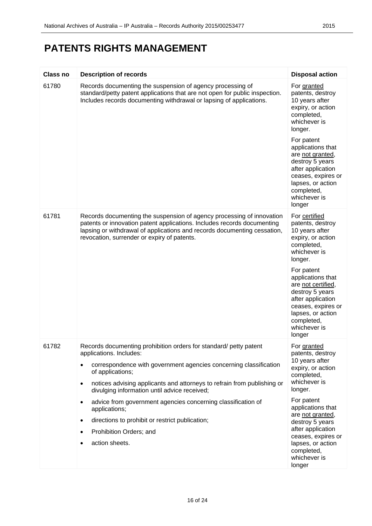| <b>Class no</b> | <b>Description of records</b>                                                                                                                                                                                                                                                                                                                                                              | <b>Disposal action</b>                                                                                                                                                                                                                                                                                |
|-----------------|--------------------------------------------------------------------------------------------------------------------------------------------------------------------------------------------------------------------------------------------------------------------------------------------------------------------------------------------------------------------------------------------|-------------------------------------------------------------------------------------------------------------------------------------------------------------------------------------------------------------------------------------------------------------------------------------------------------|
| 61780           | Records documenting the suspension of agency processing of<br>standard/petty patent applications that are not open for public inspection.<br>Includes records documenting withdrawal or lapsing of applications.                                                                                                                                                                           | For granted<br>patents, destroy<br>10 years after<br>expiry, or action<br>completed,<br>whichever is<br>longer.<br>For patent<br>applications that<br>are not granted,<br>destroy 5 years<br>after application<br>ceases, expires or<br>lapses, or action<br>completed,                               |
|                 |                                                                                                                                                                                                                                                                                                                                                                                            | whichever is<br>longer                                                                                                                                                                                                                                                                                |
| 61781           | Records documenting the suspension of agency processing of innovation<br>patents or innovation patent applications. Includes records documenting<br>lapsing or withdrawal of applications and records documenting cessation,<br>revocation, surrender or expiry of patents.                                                                                                                | For certified<br>patents, destroy<br>10 years after<br>expiry, or action<br>completed,<br>whichever is<br>longer.<br>For patent<br>applications that<br>are not certified,<br>destroy 5 years<br>after application<br>ceases, expires or<br>lapses, or action<br>completed,<br>whichever is<br>longer |
| 61782           | Records documenting prohibition orders for standard/ petty patent<br>applications. Includes:<br>correspondence with government agencies concerning classification<br>of applications;<br>notices advising applicants and attorneys to refrain from publishing or<br>٠<br>divulging information until advice received;<br>advice from government agencies concerning classification of<br>٠ | For granted<br>patents, destroy<br>10 years after<br>expiry, or action<br>completed,<br>whichever is<br>longer.<br>For patent                                                                                                                                                                         |
|                 | applications;<br>directions to prohibit or restrict publication;<br>٠<br>Prohibition Orders; and<br>action sheets.                                                                                                                                                                                                                                                                         | applications that<br>are not granted,<br>destroy 5 years<br>after application<br>ceases, expires or<br>lapses, or action<br>completed,<br>whichever is<br>longer                                                                                                                                      |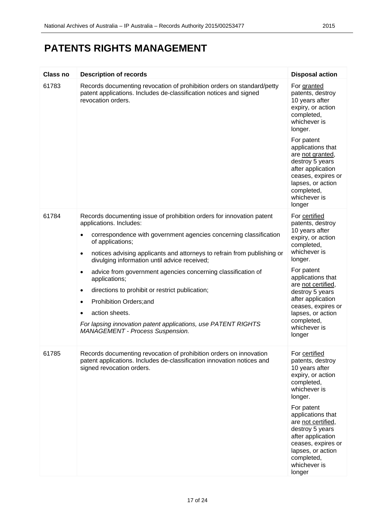| <b>Class no</b> | <b>Description of records</b>                                                                                                                                             | <b>Disposal action</b>                                                                                                                                                           |
|-----------------|---------------------------------------------------------------------------------------------------------------------------------------------------------------------------|----------------------------------------------------------------------------------------------------------------------------------------------------------------------------------|
| 61783           | Records documenting revocation of prohibition orders on standard/petty<br>patent applications. Includes de-classification notices and signed<br>revocation orders.        | For granted<br>patents, destroy<br>10 years after<br>expiry, or action<br>completed,<br>whichever is<br>longer.<br>For patent<br>applications that<br>are not granted,           |
|                 |                                                                                                                                                                           | destroy 5 years<br>after application<br>ceases, expires or<br>lapses, or action<br>completed,<br>whichever is<br>longer                                                          |
| 61784           | Records documenting issue of prohibition orders for innovation patent<br>applications. Includes:                                                                          | For certified<br>patents, destroy                                                                                                                                                |
|                 | correspondence with government agencies concerning classification<br>٠<br>of applications;                                                                                | 10 years after<br>expiry, or action<br>completed,                                                                                                                                |
|                 | notices advising applicants and attorneys to refrain from publishing or<br>٠<br>divulging information until advice received;                                              | whichever is<br>longer.<br>For patent<br>applications that<br>are not certified,<br>destroy 5 years<br>after application                                                         |
|                 | advice from government agencies concerning classification of<br>$\bullet$<br>applications;                                                                                |                                                                                                                                                                                  |
|                 | directions to prohibit or restrict publication;<br>٠<br>Prohibition Orders; and<br>٠                                                                                      |                                                                                                                                                                                  |
|                 | action sheets.                                                                                                                                                            | ceases, expires or<br>lapses, or action                                                                                                                                          |
|                 | For lapsing innovation patent applications, use PATENT RIGHTS<br><b>MANAGEMENT - Process Suspension.</b>                                                                  | completed,<br>whichever is<br>longer                                                                                                                                             |
| 61785           | Records documenting revocation of prohibition orders on innovation<br>patent applications. Includes de-classification innovation notices and<br>signed revocation orders. | For certified<br>patents, destroy<br>10 years after<br>expiry, or action<br>completed,<br>whichever is<br>longer.                                                                |
|                 |                                                                                                                                                                           | For patent<br>applications that<br>are not certified,<br>destroy 5 years<br>after application<br>ceases, expires or<br>lapses, or action<br>completed,<br>whichever is<br>longer |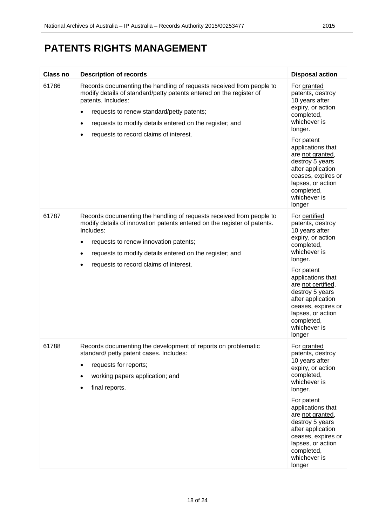| Class no | <b>Description of records</b>                                                                                                                                                                                                                                                                                                                 | <b>Disposal action</b>                                                                                                                                                                                                                                                                                |
|----------|-----------------------------------------------------------------------------------------------------------------------------------------------------------------------------------------------------------------------------------------------------------------------------------------------------------------------------------------------|-------------------------------------------------------------------------------------------------------------------------------------------------------------------------------------------------------------------------------------------------------------------------------------------------------|
| 61786    | Records documenting the handling of requests received from people to<br>modify details of standard/petty patents entered on the register of<br>patents. Includes:<br>requests to renew standard/petty patents;<br>$\bullet$<br>requests to modify details entered on the register; and<br>$\bullet$<br>requests to record claims of interest. | For granted<br>patents, destroy<br>10 years after<br>expiry, or action<br>completed,<br>whichever is<br>longer.<br>For patent<br>applications that<br>are not granted,<br>destroy 5 years<br>after application<br>ceases, expires or<br>lapses, or action<br>completed,<br>whichever is<br>longer     |
| 61787    | Records documenting the handling of requests received from people to<br>modify details of innovation patents entered on the register of patents.<br>Includes:<br>requests to renew innovation patents;<br>$\bullet$<br>requests to modify details entered on the register; and<br>$\bullet$<br>requests to record claims of interest.<br>٠    | For certified<br>patents, destroy<br>10 years after<br>expiry, or action<br>completed,<br>whichever is<br>longer.<br>For patent<br>applications that<br>are not certified,<br>destroy 5 years<br>after application<br>ceases, expires or<br>lapses, or action<br>completed,<br>whichever is<br>longer |
| 61788    | Records documenting the development of reports on problematic<br>standard/ petty patent cases. Includes:<br>requests for reports;<br>$\bullet$<br>working papers application; and<br>$\bullet$<br>final reports.                                                                                                                              | For granted<br>patents, destroy<br>10 years after<br>expiry, or action<br>completed,<br>whichever is<br>longer.<br>For patent<br>applications that<br>are not granted,<br>destroy 5 years<br>after application<br>ceases, expires or<br>lapses, or action<br>completed,<br>whichever is<br>longer     |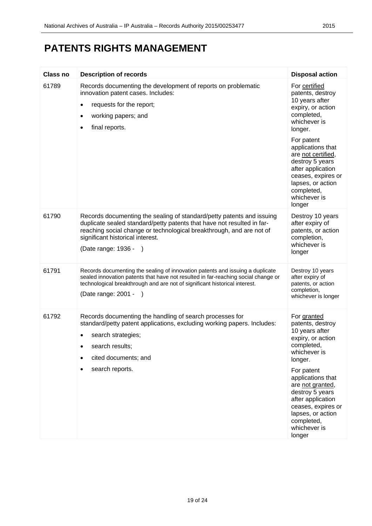| <b>Class no</b> | <b>Description of records</b>                                                                                                                                                                                                                                                                       | <b>Disposal action</b>                                                                                                                                                                                                                                                                                |
|-----------------|-----------------------------------------------------------------------------------------------------------------------------------------------------------------------------------------------------------------------------------------------------------------------------------------------------|-------------------------------------------------------------------------------------------------------------------------------------------------------------------------------------------------------------------------------------------------------------------------------------------------------|
| 61789           | Records documenting the development of reports on problematic<br>innovation patent cases. Includes:<br>requests for the report;<br>$\bullet$<br>working papers; and<br>٠<br>final reports.                                                                                                          | For certified<br>patents, destroy<br>10 years after<br>expiry, or action<br>completed,<br>whichever is<br>longer.<br>For patent<br>applications that<br>are not certified,<br>destroy 5 years<br>after application<br>ceases, expires or<br>lapses, or action<br>completed,<br>whichever is<br>longer |
| 61790           | Records documenting the sealing of standard/petty patents and issuing<br>duplicate sealed standard/petty patents that have not resulted in far-<br>reaching social change or technological breakthrough, and are not of<br>significant historical interest.<br>(Date range: 1936 -<br>$\rightarrow$ | Destroy 10 years<br>after expiry of<br>patents, or action<br>completion,<br>whichever is<br>longer                                                                                                                                                                                                    |
| 61791           | Records documenting the sealing of innovation patents and issuing a duplicate<br>sealed innovation patents that have not resulted in far-reaching social change or<br>technological breakthrough and are not of significant historical interest.<br>(Date range: 2001 -<br>$\rightarrow$            | Destroy 10 years<br>after expiry of<br>patents, or action<br>completion,<br>whichever is longer                                                                                                                                                                                                       |
| 61792           | Records documenting the handling of search processes for<br>standard/petty patent applications, excluding working papers. Includes:<br>search strategies;<br>search results;<br>cited documents; and<br>search reports.                                                                             | For granted<br>patents, destroy<br>10 years after<br>expiry, or action<br>completed,<br>whichever is<br>longer.<br>For patent<br>applications that<br>are not granted,<br>destroy 5 years<br>after application<br>ceases, expires or<br>lapses, or action<br>completed,<br>whichever is<br>longer     |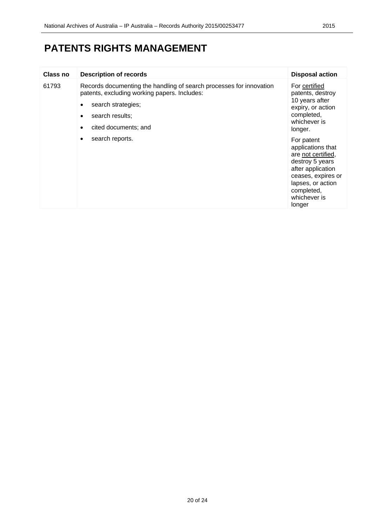| Class no | <b>Description of records</b>                                                                                                                                                        | <b>Disposal action</b>                                                                                                                                                           |
|----------|--------------------------------------------------------------------------------------------------------------------------------------------------------------------------------------|----------------------------------------------------------------------------------------------------------------------------------------------------------------------------------|
| 61793    | Records documenting the handling of search processes for innovation<br>patents, excluding working papers. Includes:<br>search strategies;<br>search results;<br>cited documents; and | For certified<br>patents, destroy<br>10 years after<br>expiry, or action<br>completed,<br>whichever is<br>longer.                                                                |
|          | search reports.<br>٠                                                                                                                                                                 | For patent<br>applications that<br>are not certified,<br>destroy 5 years<br>after application<br>ceases, expires or<br>lapses, or action<br>completed,<br>whichever is<br>longer |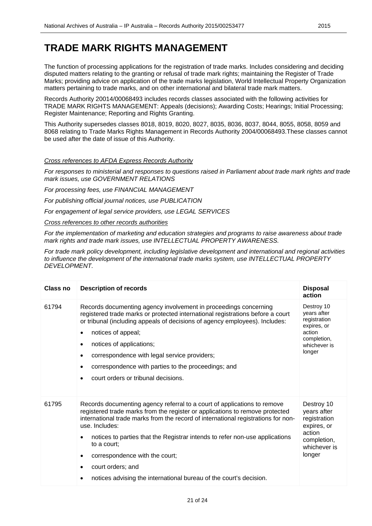#### **TRADE MARK RIGHTS MANAGEMENT**

The function of processing applications for the registration of trade marks. Includes considering and deciding disputed matters relating to the granting or refusal of trade mark rights; maintaining the Register of Trade Marks; providing advice on application of the trade marks legislation, World Intellectual Property Organization matters pertaining to trade marks, and on other international and bilateral trade mark matters.

Records Authority 20014/00068493 includes records classes associated with the following activities for TRADE MARK RIGHTS MANAGEMENT: Appeals (decisions); Awarding Costs; Hearings; Initial Processing; Register Maintenance; Reporting and Rights Granting.

This Authority supersedes classes 8018, 8019, 8020, 8027, 8035, 8036, 8037, 8044, 8055, 8058, 8059 and 8068 relating to Trade Marks Rights Management in Records Authority 2004/00068493.These classes cannot be used after the date of issue of this Authority.

#### *Cross references to AFDA Express Records Authority*

*For responses to ministerial and responses to questions raised in Parliament about trade mark rights and trade mark issues, use GOVERNMENT RELATIONS* 

*For processing fees, use FINANCIAL MANAGEMENT* 

*For publishing official journal notices, use PUBLICATION* 

*For engagement of legal service providers, use LEGAL SERVICES*

#### *Cross references to other records authorities*

*For the implementation of marketing and education strategies and programs to raise awareness about trade mark rights and trade mark issues, use INTELLECTUAL PROPERTY AWARENESS.* 

*For trade mark policy development, including legislative development and international and regional activities to influence the development of the international trade marks system, use INTELLECTUAL PROPERTY DEVELOPMENT.*

| Class no | <b>Description of records</b>                                                                                                                                                                                                                                                                                                                                                                                                                                                              | <b>Disposal</b><br>action                                                                                   |
|----------|--------------------------------------------------------------------------------------------------------------------------------------------------------------------------------------------------------------------------------------------------------------------------------------------------------------------------------------------------------------------------------------------------------------------------------------------------------------------------------------------|-------------------------------------------------------------------------------------------------------------|
| 61794    | Records documenting agency involvement in proceedings concerning<br>registered trade marks or protected international registrations before a court<br>or tribunal (including appeals of decisions of agency employees). Includes:<br>notices of appeal;<br>notices of applications;<br>correspondence with legal service providers;<br>correspondence with parties to the proceedings; and<br>court orders or tribunal decisions.                                                          | Destroy 10<br>years after<br>registration<br>expires, or<br>action<br>completion,<br>whichever is<br>longer |
| 61795    | Records documenting agency referral to a court of applications to remove<br>registered trade marks from the register or applications to remove protected<br>international trade marks from the record of international registrations for non-<br>use. Includes:<br>notices to parties that the Registrar intends to refer non-use applications<br>to a court:<br>correspondence with the court;<br>court orders; and<br>notices advising the international bureau of the court's decision. | Destroy 10<br>years after<br>registration<br>expires, or<br>action<br>completion,<br>whichever is<br>longer |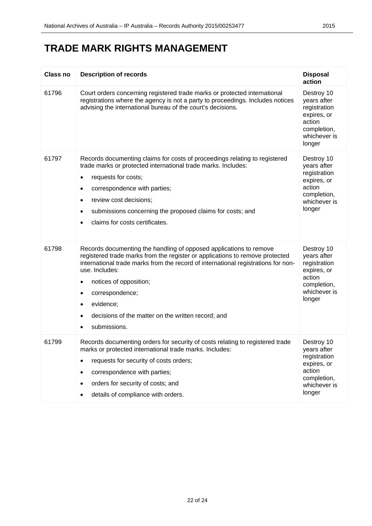| Class no | <b>Description of records</b>                                                                                                                                                                                                                                                                                                                                                                               | <b>Disposal</b><br>action                                                                                   |
|----------|-------------------------------------------------------------------------------------------------------------------------------------------------------------------------------------------------------------------------------------------------------------------------------------------------------------------------------------------------------------------------------------------------------------|-------------------------------------------------------------------------------------------------------------|
| 61796    | Court orders concerning registered trade marks or protected international<br>registrations where the agency is not a party to proceedings. Includes notices<br>advising the international bureau of the court's decisions.                                                                                                                                                                                  | Destroy 10<br>years after<br>registration<br>expires, or<br>action<br>completion,<br>whichever is<br>longer |
| 61797    | Records documenting claims for costs of proceedings relating to registered<br>trade marks or protected international trade marks. Includes:<br>requests for costs;<br>$\bullet$<br>correspondence with parties;<br>$\bullet$<br>review cost decisions;<br>$\bullet$<br>submissions concerning the proposed claims for costs; and<br>٠<br>claims for costs certificates.<br>$\bullet$                        | Destroy 10<br>years after<br>registration<br>expires, or<br>action<br>completion,<br>whichever is<br>longer |
| 61798    | Records documenting the handling of opposed applications to remove<br>registered trade marks from the register or applications to remove protected<br>international trade marks from the record of international registrations for non-<br>use. Includes:<br>notices of opposition;<br>$\bullet$<br>correspondence;<br>٠<br>evidence;<br>decisions of the matter on the written record; and<br>submissions. | Destroy 10<br>years after<br>registration<br>expires, or<br>action<br>completion,<br>whichever is<br>longer |
| 61799    | Records documenting orders for security of costs relating to registered trade<br>marks or protected international trade marks. Includes:<br>requests for security of costs orders;<br>correspondence with parties;<br>٠<br>orders for security of costs; and<br>details of compliance with orders.                                                                                                          | Destroy 10<br>years after<br>registration<br>expires, or<br>action<br>completion,<br>whichever is<br>longer |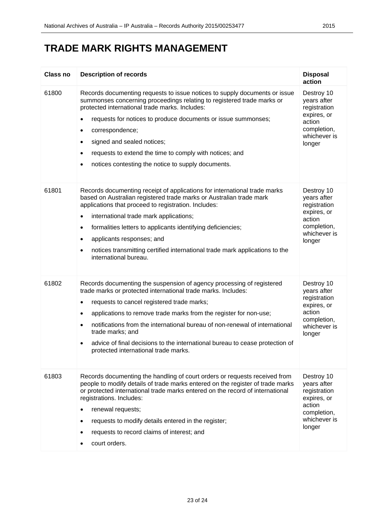#### **TRADE MARK RIGHTS MANAGEMENT**

| <b>Class no</b> | <b>Description of records</b>                                                                                                                                                                                                                                                                                                                                                                                                                                                                                                    | <b>Disposal</b><br>action                                                                                   |
|-----------------|----------------------------------------------------------------------------------------------------------------------------------------------------------------------------------------------------------------------------------------------------------------------------------------------------------------------------------------------------------------------------------------------------------------------------------------------------------------------------------------------------------------------------------|-------------------------------------------------------------------------------------------------------------|
| 61800           | Records documenting requests to issue notices to supply documents or issue<br>summonses concerning proceedings relating to registered trade marks or<br>protected international trade marks. Includes:<br>requests for notices to produce documents or issue summonses;<br>$\bullet$<br>correspondence;<br>$\bullet$<br>signed and sealed notices;<br>$\bullet$<br>requests to extend the time to comply with notices; and<br>$\bullet$<br>notices contesting the notice to supply documents.<br>٠                               | Destroy 10<br>years after<br>registration<br>expires, or<br>action<br>completion,<br>whichever is<br>longer |
| 61801           | Records documenting receipt of applications for international trade marks<br>based on Australian registered trade marks or Australian trade mark<br>applications that proceed to registration. Includes:<br>international trade mark applications;<br>$\bullet$<br>formalities letters to applicants identifying deficiencies;<br>$\bullet$<br>applicants responses; and<br>$\bullet$<br>notices transmitting certified international trade mark applications to the<br>$\bullet$<br>international bureau.                       | Destroy 10<br>years after<br>registration<br>expires, or<br>action<br>completion,<br>whichever is<br>longer |
| 61802           | Records documenting the suspension of agency processing of registered<br>trade marks or protected international trade marks. Includes:<br>requests to cancel registered trade marks;<br>$\bullet$<br>applications to remove trade marks from the register for non-use;<br>$\bullet$<br>notifications from the international bureau of non-renewal of international<br>$\bullet$<br>trade marks; and<br>advice of final decisions to the international bureau to cease protection of<br>٠<br>protected international trade marks. | Destroy 10<br>years after<br>registration<br>expires, or<br>action<br>completion,<br>whichever is<br>longer |
| 61803           | Records documenting the handling of court orders or requests received from<br>people to modify details of trade marks entered on the register of trade marks<br>or protected international trade marks entered on the record of international<br>registrations. Includes:<br>renewal requests;<br>$\bullet$<br>requests to modify details entered in the register;<br>$\bullet$<br>requests to record claims of interest; and<br>court orders.                                                                                   | Destroy 10<br>years after<br>registration<br>expires, or<br>action<br>completion,<br>whichever is<br>longer |